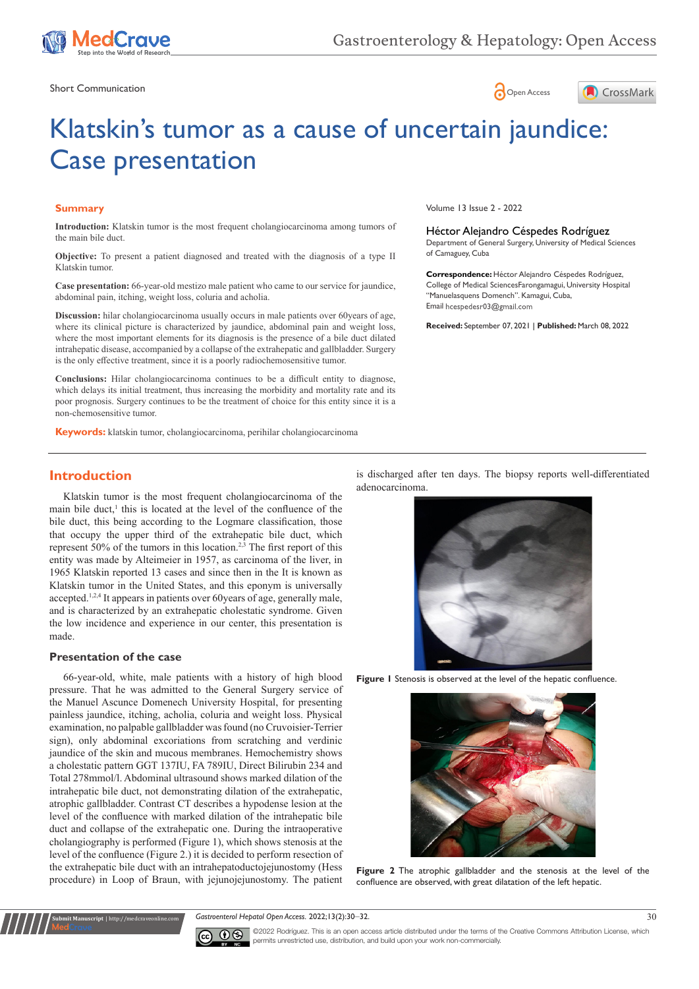

Short Communication and the state of the state of the state of the Short Communication and the Short Communication





# Klatskin's tumor as a cause of uncertain jaundice: Case presentation

### **Summary**

**Introduction:** Klatskin tumor is the most frequent cholangiocarcinoma among tumors of the main bile duct.

**Objective:** To present a patient diagnosed and treated with the diagnosis of a type II Klatskin tumor.

**Case presentation:** 66-year-old mestizo male patient who came to our service for jaundice, abdominal pain, itching, weight loss, coluria and acholia.

**Discussion:** hilar cholangiocarcinoma usually occurs in male patients over 60years of age, where its clinical picture is characterized by jaundice, abdominal pain and weight loss, where the most important elements for its diagnosis is the presence of a bile duct dilated intrahepatic disease, accompanied by a collapse of the extrahepatic and gallbladder. Surgery is the only effective treatment, since it is a poorly radiochemosensitive tumor.

**Conclusions:** Hilar cholangiocarcinoma continues to be a difficult entity to diagnose, which delays its initial treatment, thus increasing the morbidity and mortality rate and its poor prognosis. Surgery continues to be the treatment of choice for this entity since it is a non-chemosensitive tumor.

**Keywords:** klatskin tumor, cholangiocarcinoma, perihilar cholangiocarcinoma

Volume 13 Issue 2 - 2022

Héctor Alejandro Céspedes Rodríguez Department of General Surgery, University of Medical Sciences of Camaguey, Cuba

**Correspondence:** Héctor Alejandro Céspedes Rodríguez, College of Medical SciencesFarongamagui, University Hospital "Manuelasquens Domench". Kamagui, Cuba, Email hcespedesr03@gmail.com

**Received:** September 07, 2021 | **Published:** March 08, 2022

## **Introduction**

Klatskin tumor is the most frequent cholangiocarcinoma of the main bile duct, $<sup>1</sup>$  this is located at the level of the confluence of the</sup> bile duct, this being according to the Logmare classification, those that occupy the upper third of the extrahepatic bile duct, which represent 50% of the tumors in this location.2,3 The first report of this entity was made by Alteimeier in 1957, as carcinoma of the liver, in 1965 Klatskin reported 13 cases and since then in the It is known as Klatskin tumor in the United States, and this eponym is universally accepted.<sup>1,2,4</sup> It appears in patients over 60years of age, generally male, and is characterized by an extrahepatic cholestatic syndrome. Given the low incidence and experience in our center, this presentation is made.

#### **Presentation of the case**

**Submit Manuscript** | http://medcraveonline.com

66-year-old, white, male patients with a history of high blood pressure. That he was admitted to the General Surgery service of the Manuel Ascunce Domenech University Hospital, for presenting painless jaundice, itching, acholia, coluria and weight loss. Physical examination, no palpable gallbladder was found (no Cruvoisier-Terrier sign), only abdominal excoriations from scratching and verdinic jaundice of the skin and mucous membranes. Hemochemistry shows a cholestatic pattern GGT 137IU, FA 789IU, Direct Bilirubin 234 and Total 278mmol/l. Abdominal ultrasound shows marked dilation of the intrahepatic bile duct, not demonstrating dilation of the extrahepatic, atrophic gallbladder. Contrast CT describes a hypodense lesion at the level of the confluence with marked dilation of the intrahepatic bile duct and collapse of the extrahepatic one. During the intraoperative cholangiography is performed (Figure 1), which shows stenosis at the level of the confluence (Figure 2.) it is decided to perform resection of the extrahepatic bile duct with an intrahepatoductojejunostomy (Hess procedure) in Loop of Braun, with jejunojejunostomy. The patient is discharged after ten days. The biopsy reports well-differentiated adenocarcinoma.



**Figure 1** Stenosis is observed at the level of the hepatic confluence.



**Figure 2** The atrophic gallbladder and the stenosis at the level of the confluence are observed, with great dilatation of the left hepatic.

#### *Gastroenterol Hepatol Open Access.* 2022;13(2):30‒32. 30



©2022 Rodríguez. This is an open access article distributed under the terms of the [Creative Commons Attribution License](https://creativecommons.org/licenses/by-nc/4.0/), which permits unrestricted use, distribution, and build upon your work non-commercially.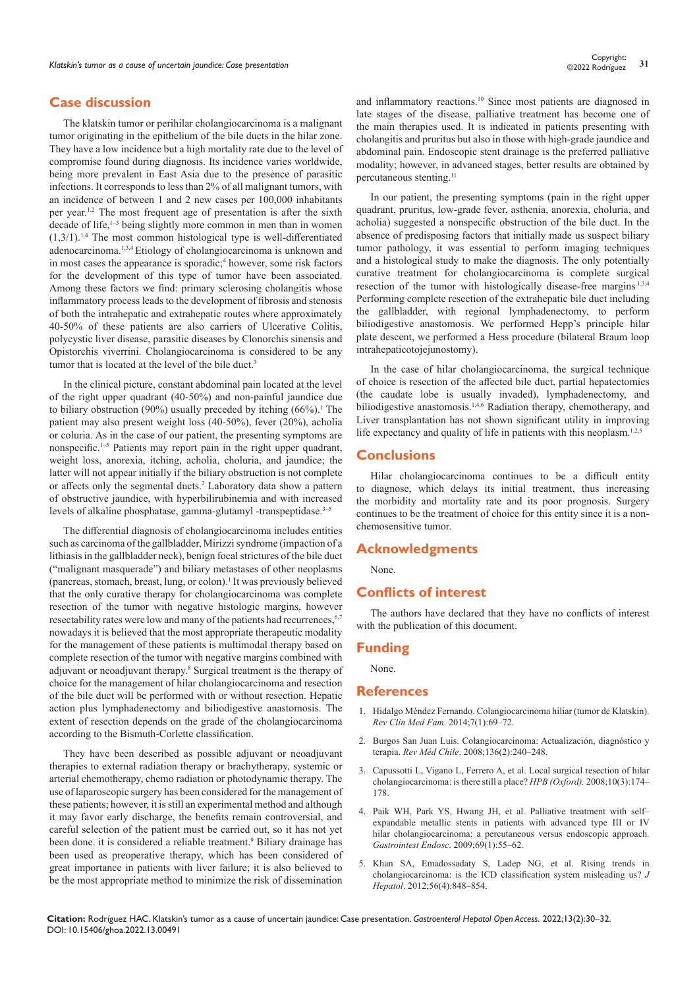## **Case discussion**

The klatskin tumor or perihilar cholangiocarcinoma is a malignant tumor originating in the epithelium of the bile ducts in the hilar zone. They have a low incidence but a high mortality rate due to the level of compromise found during diagnosis. Its incidence varies worldwide, being more prevalent in East Asia due to the presence of parasitic infections. It corresponds to less than 2% of all malignant tumors, with an incidence of between 1 and 2 new cases per 100,000 inhabitants per year.1,2 The most frequent age of presentation is after the sixth decade of life,<sup>1-3</sup> being slightly more common in men than in women  $(1,3/1)$ <sup>1,4</sup> The most common histological type is well-differentiated adenocarcinoma.1,3,4 Etiology of cholangiocarcinoma is unknown and in most cases the appearance is sporadic;<sup>4</sup> however, some risk factors for the development of this type of tumor have been associated. Among these factors we find: primary sclerosing cholangitis whose inflammatory process leads to the development of fibrosis and stenosis of both the intrahepatic and extrahepatic routes where approximately 40-50% of these patients are also carriers of Ulcerative Colitis, polycystic liver disease, parasitic diseases by Clonorchis sinensis and Opistorchis viverrini. Cholangiocarcinoma is considered to be any tumor that is located at the level of the bile duct.<sup>3</sup>

In the clinical picture, constant abdominal pain located at the level of the right upper quadrant (40-50%) and non-painful jaundice due to biliary obstruction  $(90\%)$  usually preceded by itching  $(66\%)$ .<sup>1</sup> The patient may also present weight loss (40-50%), fever (20%), acholia or coluria. As in the case of our patient, the presenting symptoms are nonspecific.<sup>1–5</sup> Patients may report pain in the right upper quadrant, weight loss, anorexia, itching, acholia, choluria, and jaundice; the latter will not appear initially if the biliary obstruction is not complete or affects only the segmental ducts.<sup>2</sup> Laboratory data show a pattern of obstructive jaundice, with hyperbilirubinemia and with increased levels of alkaline phosphatase, gamma-glutamyl -transpeptidase.<sup>3–5</sup>

The differential diagnosis of cholangiocarcinoma includes entities such as carcinoma of the gallbladder, Mirizzi syndrome (impaction of a lithiasis in the gallbladder neck), benign focal strictures of the bile duct ("malignant masquerade") and biliary metastases of other neoplasms (pancreas, stomach, breast, lung, or colon).1 It was previously believed that the only curative therapy for cholangiocarcinoma was complete resection of the tumor with negative histologic margins, however resectability rates were low and many of the patients had recurrences, 6,7 nowadays it is believed that the most appropriate therapeutic modality for the management of these patients is multimodal therapy based on complete resection of the tumor with negative margins combined with adjuvant or neoadjuvant therapy.8 Surgical treatment is the therapy of choice for the management of hilar cholangiocarcinoma and resection of the bile duct will be performed with or without resection. Hepatic action plus lymphadenectomy and biliodigestive anastomosis. The extent of resection depends on the grade of the cholangiocarcinoma according to the Bismuth-Corlette classification.

They have been described as possible adjuvant or neoadjuvant therapies to external radiation therapy or brachytherapy, systemic or arterial chemotherapy, chemo radiation or photodynamic therapy. The use of laparoscopic surgery has been considered for the management of these patients; however, it is still an experimental method and although it may favor early discharge, the benefits remain controversial, and careful selection of the patient must be carried out, so it has not yet been done. it is considered a reliable treatment.<sup>9</sup> Biliary drainage has been used as preoperative therapy, which has been considered of great importance in patients with liver failure; it is also believed to be the most appropriate method to minimize the risk of dissemination

and inflammatory reactions.10 Since most patients are diagnosed in late stages of the disease, palliative treatment has become one of the main therapies used. It is indicated in patients presenting with cholangitis and pruritus but also in those with high-grade jaundice and abdominal pain. Endoscopic stent drainage is the preferred palliative modality; however, in advanced stages, better results are obtained by percutaneous stenting.11

In our patient, the presenting symptoms (pain in the right upper quadrant, pruritus, low-grade fever, asthenia, anorexia, choluria, and acholia) suggested a nonspecific obstruction of the bile duct. In the absence of predisposing factors that initially made us suspect biliary tumor pathology, it was essential to perform imaging techniques and a histological study to make the diagnosis. The only potentially curative treatment for cholangiocarcinoma is complete surgical resection of the tumor with histologically disease-free margins.<sup>1,3,4</sup> Performing complete resection of the extrahepatic bile duct including the gallbladder, with regional lymphadenectomy, to perform biliodigestive anastomosis. We performed Hepp's principle hilar plate descent, we performed a Hess procedure (bilateral Braum loop intrahepaticotojejunostomy).

In the case of hilar cholangiocarcinoma, the surgical technique of choice is resection of the affected bile duct, partial hepatectomies (the caudate lobe is usually invaded), lymphadenectomy, and biliodigestive anastomosis.<sup>1,4,6</sup> Radiation therapy, chemotherapy, and Liver transplantation has not shown significant utility in improving life expectancy and quality of life in patients with this neoplasm.<sup>1,2,5</sup>

## **Conclusions**

Hilar cholangiocarcinoma continues to be a difficult entity to diagnose, which delays its initial treatment, thus increasing the morbidity and mortality rate and its poor prognosis. Surgery continues to be the treatment of choice for this entity since it is a nonchemosensitive tumor.

### **Acknowledgments**

None.

## **Conflicts of interest**

The authors have declared that they have no conflicts of interest with the publication of this document.

## **Funding**

None.

#### **References**

- 1. [Hidalgo Méndez Fernando. Colangiocarcinoma hiliar \(tumor de Klatskin\).](https://scielo.isciii.es/scielo.php?script=sci_arttext&pid=S1699-695X2014000100013&lng=es)  *[Rev Clin Med Fam](https://scielo.isciii.es/scielo.php?script=sci_arttext&pid=S1699-695X2014000100013&lng=es)*. 2014;7(1):69–72.
- 2. [Burgos San Juan Luis. Colangiocarcinoma: Actualización, diagnóstico y](https://scielo.conicyt.cl/scielo.php?script=sci_arttext&pid=S0034-98872008000200015&lng=es)  terapia. *Rev Méd Chile*[. 2008;136\(2\):240–248.](https://scielo.conicyt.cl/scielo.php?script=sci_arttext&pid=S0034-98872008000200015&lng=es)
- 3. [Capussotti L, Vigano L, Ferrero A, et al. Local surgical resection of hilar](https://pubmed.ncbi.nlm.nih.gov/18773049/)  [cholangiocarcinoma: is there still a place?](https://pubmed.ncbi.nlm.nih.gov/18773049/) *HPB (Oxford).* 2008;10(3):174– [178.](https://pubmed.ncbi.nlm.nih.gov/18773049/)
- 4. [Paik WH, Park YS, Hwang JH, et al. Palliative treatment with self–](https://pubmed.ncbi.nlm.nih.gov/18657806/) [expandable metallic stents in patients with advanced type III or IV](https://pubmed.ncbi.nlm.nih.gov/18657806/)  [hilar cholangiocarcinoma: a percutaneous versus endoscopic approach.](https://pubmed.ncbi.nlm.nih.gov/18657806/)  *[Gastrointest Endosc](https://pubmed.ncbi.nlm.nih.gov/18657806/)*. 2009;69(1):55–62.
- 5. [Khan SA, Emadossadaty S, Ladep NG, et al. Rising trends in](https://pubmed.ncbi.nlm.nih.gov/22173164/)  [cholangiocarcinoma: is the ICD classification system misleading us?](https://pubmed.ncbi.nlm.nih.gov/22173164/) *J Hepatol*[. 2012;56\(4\):848–854.](https://pubmed.ncbi.nlm.nih.gov/22173164/)